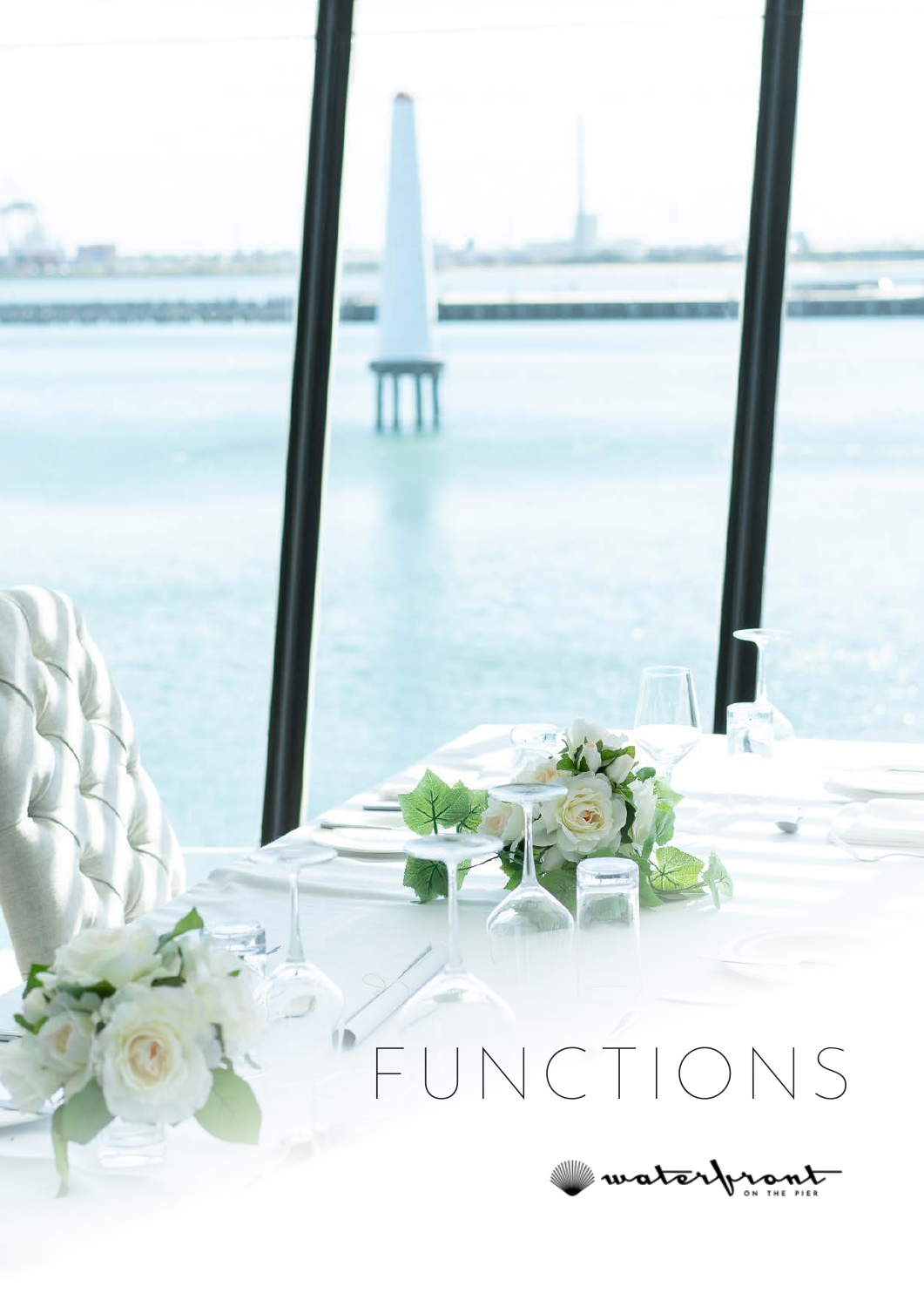# FUNCTIONS

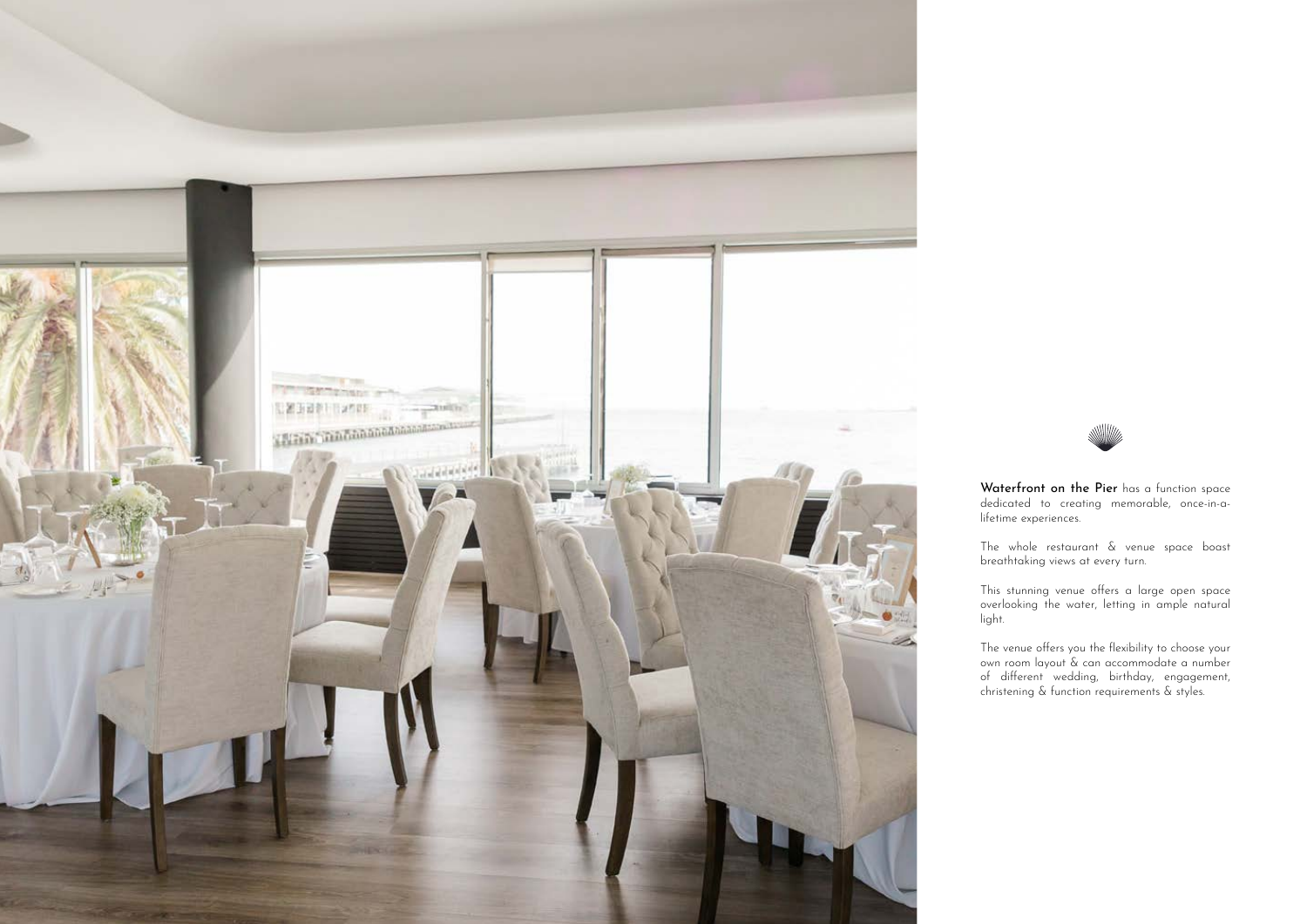



Waterfront on the Pier has a function space dedicated to creating memorable, once-in-alifetime experiences.

The whole restaurant & venue space boast breathtaking views at every turn.

This stunning venue offers a large open space overlooking the water, letting in ample natural light.

The venue offers you the flexibility to choose your own room layout & can accommodate a number of different wedding, birthday, engagement, christening & function requirements & styles.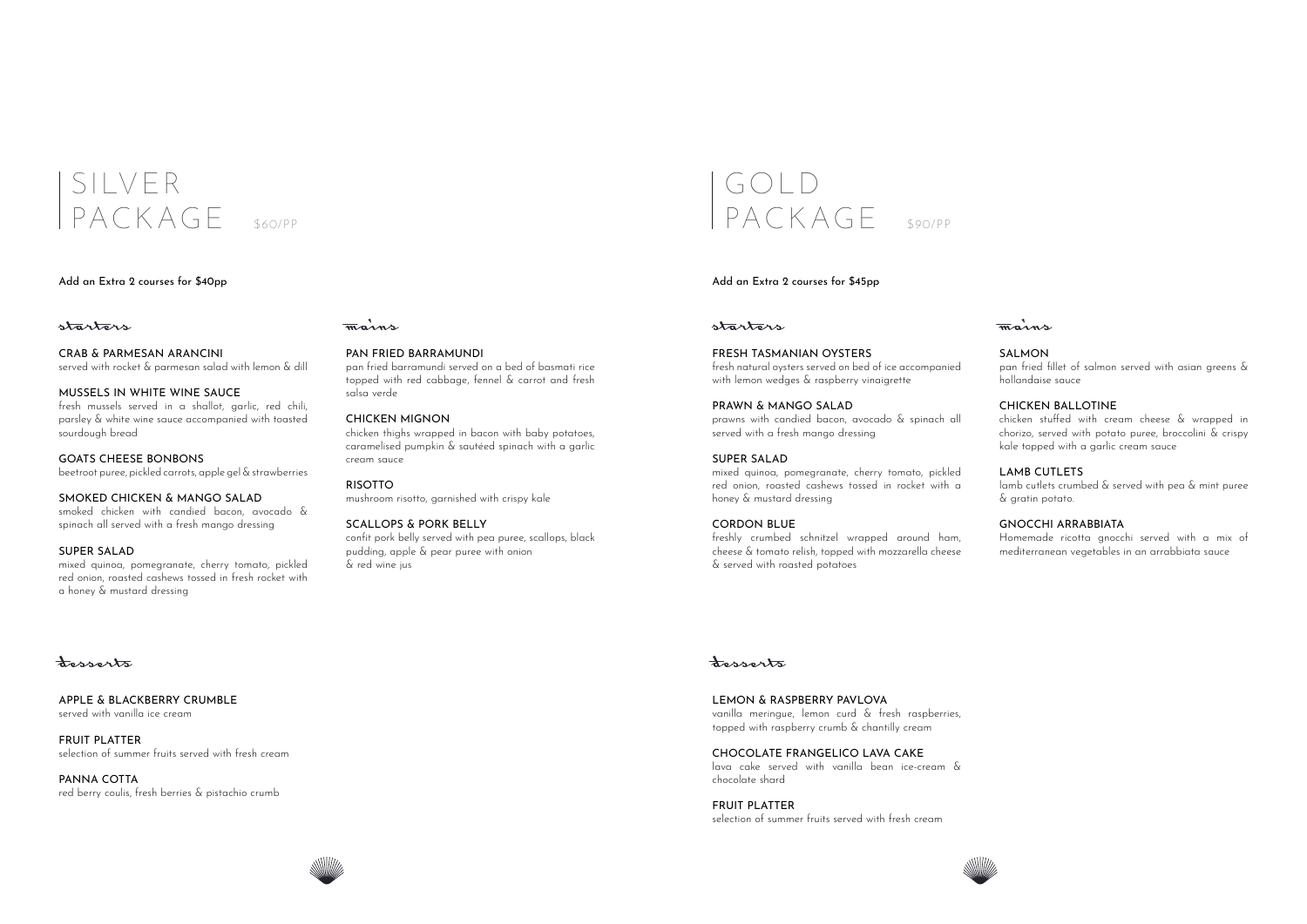#### CRAB & PARMESAN ARANCINI

served with rocket & parmesan salad with lemon & dill

#### MUSSELS IN WHITE WINE SAUCE

fresh mussels served in a shallot, garlic, red chili, parsley & white wine sauce accompanied with toasted sourdough bread

#### GOATS CHEESE BONBONS

beetroot puree, pickled carrots, apple gel & strawberries

#### SMOKED CHICKEN & MANGO SALAD

smoked chicken with candied bacon, avocado & spinach all served with a fresh mango dressing

#### SUPER SALAD

mixed quinoa, pomegranate, cherry tomato, pickled red onion, roasted cashews tossed in fresh rocket with a honey & mustard dressing

#### $\pi$

#### Starters

#### PAN FRIED BARRAMUNDI

fresh natural oysters served on bed of ice accompanied with lemon wedges & raspberry vinaigrette

pan fried barramundi served on a bed of basmati rice topped with red cabbage, fennel & carrot and fresh salsa verde

#### CHICKEN MIGNON

chicken thighs wrapped in bacon with baby potatoes, caramelised pumpkin & sautéed spinach with a garlic cream sauce

#### RISOTTO

mushroom risotto, garnished with crispy kale

#### SCALLOPS & PORK BELLY

confit pork belly served with pea puree, scallops, black pudding, apple & pear puree with onion & red wine jus

#### Mains

#### APPLE & BLACKBERRY CRUMBLE served with vanilla ice cream

FRUIT PLATTER selection of summer fruits served with fresh cream

PANNA COTTA red berry coulis, fresh berries & pistachio crumb

# SILVER PACKAGE \$60/PP

#### Add an Extra 2 courses for \$40pp

#### FRESH TASMANIAN OYSTERS

#### PRAWN & MANGO SALAD

prawns with candied bacon, avocado & spinach all served with a fresh mango dressing

#### SUPER SALAD

### GOLD PACKAGE \$90/PP

mixed quinoa, pomegranate, cherry tomato, pickled red onion, roasted cashews tossed in rocket with a honey & mustard dressing

#### CORDON BLUE

freshly crumbed schnitzel wrapped around ham, cheese & tomato relish, topped with mozzarella cheese & served with roasted potatoes

#### Starters

#### SALMON

pan fried fillet of salmon served with asian greens & hollandaise sauce

#### CHICKEN BALLOTINE

chicken stuffed with cream cheese & wrapped in chorizo, served with potato puree, broccolini & crispy kale topped with a garlic cream sauce

#### LAMB CUTLETS

lamb cutlets crumbed & served with pea & mint puree & gratin potato.

#### GNOCCHI ARRABBIATA

Homemade ricotta gnocchi served with a mix of mediterranean vegetables in an arrabbiata sauce

Mains

#### LEMON & RASPBERRY PAVLOVA

vanilla meringue, lemon curd & fresh raspberries, topped with raspberry crumb & chantilly cream

#### CHOCOLATE FRANGELICO LAVA CAKE

lava cake served with vanilla bean ice-cream & chocolate shard

#### FRUIT PLATTER

selection of summer fruits served with fresh cream



#### Desserts

#### Add an Extra 2 courses for \$45pp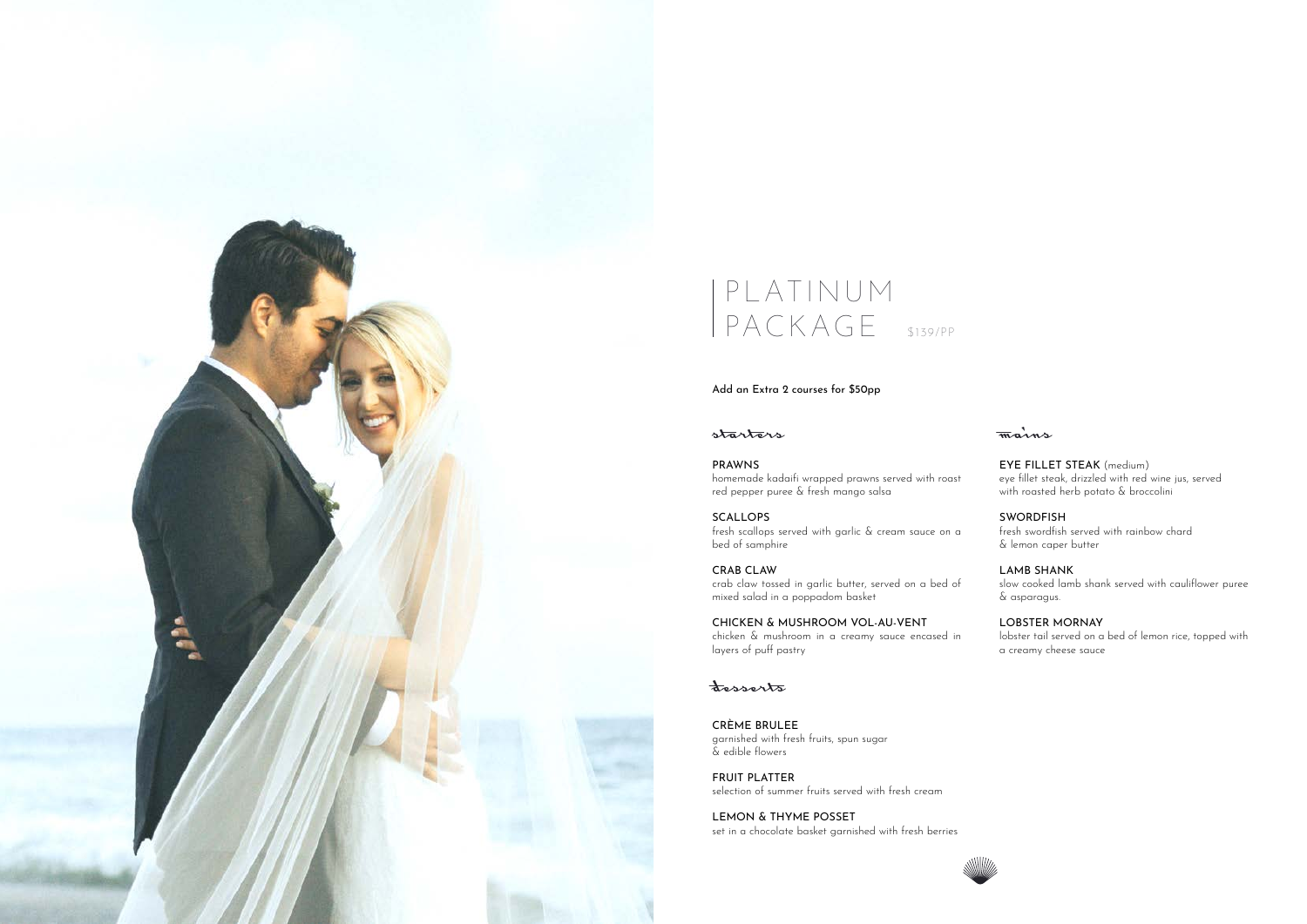

### PLATINUM PACKAGE \$139/PP

#### PRAWNS

homemade kadaifi wrapped prawns served with roast red pepper puree & fresh mango salsa

#### **SCALLOPS**

fresh scallops served with garlic & cream sauce on a bed of samphire

#### CRAB CLAW

eye fillet steak, drizzled with red wine jus, served with roasted herb potato & broccolini

crab claw tossed in garlic butter, served on a bed of mixed salad in a poppadom basket

#### CHICKEN & MUSHROOM VOL-AU-VENT

chicken & mushroom in a creamy sauce encased in layers of puff pastry

#### Starters

#### EYE FILLET STEAK (medium)

#### SWORDFISH

fresh swordfish served with rainbow chard & lemon caper butter

#### LAMB SHANK

slow cooked lamb shank served with cauliflower puree & asparagus.

#### LOBSTER MORNAY

lobster tail served on a bed of lemon rice, topped with a creamy cheese sauce



CRÈME BRULEE garnished with fresh fruits, spun sugar & edible flowers

FRUIT PLATTER selection of summer fruits served with fresh cream

LEMON & THYME POSSET set in a chocolate basket garnished with fresh berries

Desserts

#### Add an Extra 2 courses for \$50pp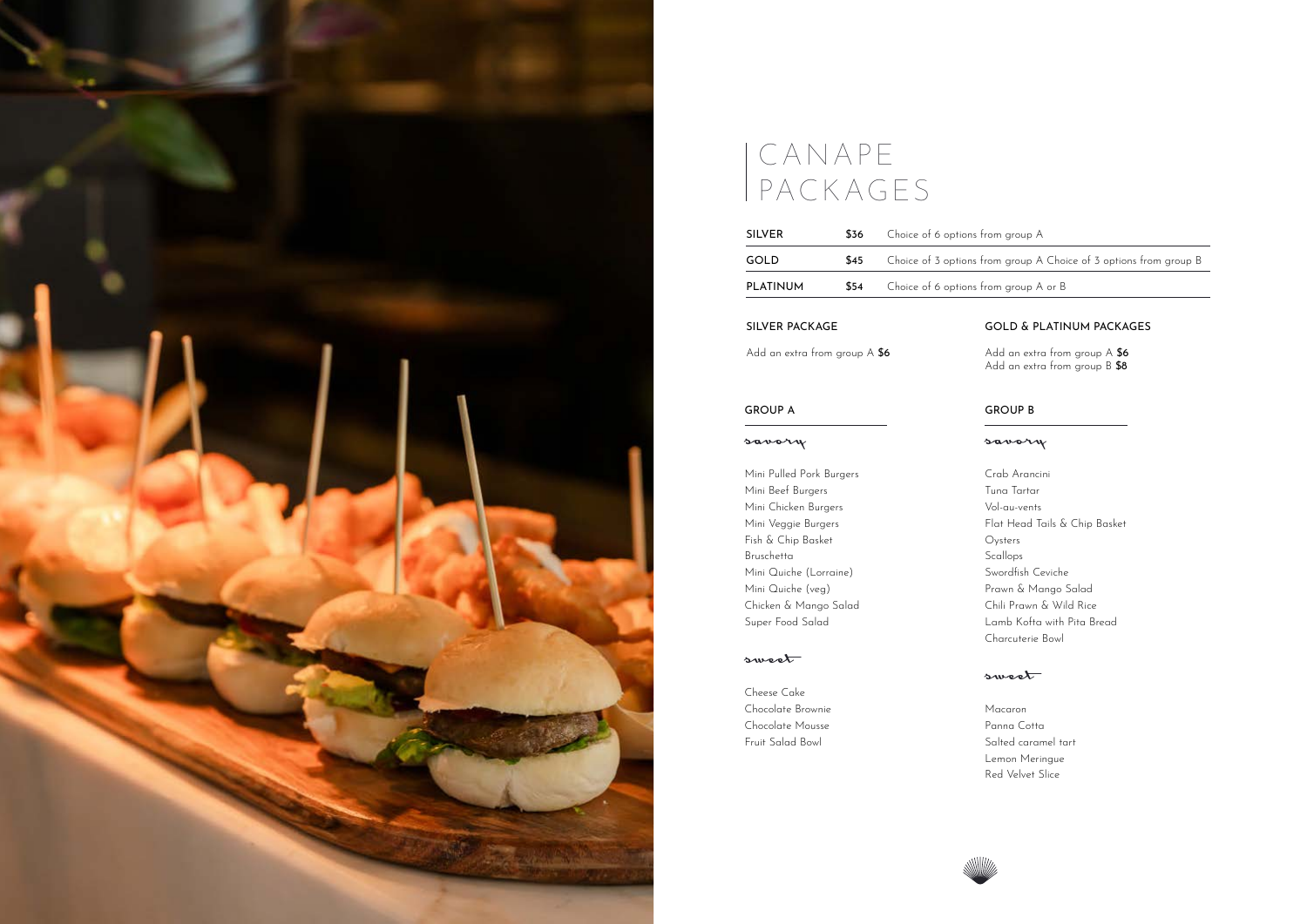

# CANAPE PACKAGES

#### GOLD & PLATINUM PACKAGES

Add an extra from group A \$6 Add an extra from group B \$8

SILVER

\$36

Choice of 6 options from group A

 $\overline{\mathbb{C}}$ rom group A Choice of 3 options from group B

.<br>Trom group A or B

| GOLD                                        | \$45 | Choice of 3 options fr |
|---------------------------------------------|------|------------------------|
| <b>PLATINUM</b>                             | \$54 | Choice of 6 options fr |
| <b>SILVER PACKAGE</b>                       |      |                        |
| Add an extra from group A \$6               |      |                        |
|                                             |      |                        |
| <b>GROUP A</b>                              |      |                        |
| savo                                        |      |                        |
| Mini Pulled Pork Burgers                    |      |                        |
| Mini Beef Burgers<br>Mini Chicken Burgers   |      |                        |
| Mini Veggie Burgers                         |      |                        |
| Fish & Chip Basket                          |      |                        |
| Bruschetta                                  |      |                        |
| Mini Quiche (Lorraine)<br>Mini Quiche (veg) |      |                        |
| Chicken & Mango Salad                       |      |                        |
| Super Food Salad                            |      |                        |
|                                             |      |                        |
| sweet                                       |      |                        |
| Cheese Cake                                 |      |                        |
| Chocolate Brownie                           |      |                        |
| Chocolate Mousse                            |      |                        |
| Fruit Salad Bowl                            |      |                        |
|                                             |      |                        |
|                                             |      |                        |

#### GROUP B

#### Savory

Crab Arancini Tuna Tartar Vol-au-vents Flat Head Tails & Chip Basket Oysters Scallops Swordfish Ceviche Prawn & Mango Salad Chili Prawn & Wild Rice Lamb Kofta with Pita Bread Charcuterie Bowl

#### sweet

Macaron Panna Cotta Salted caramel tart Lemon Meringue Red Velvet Slice

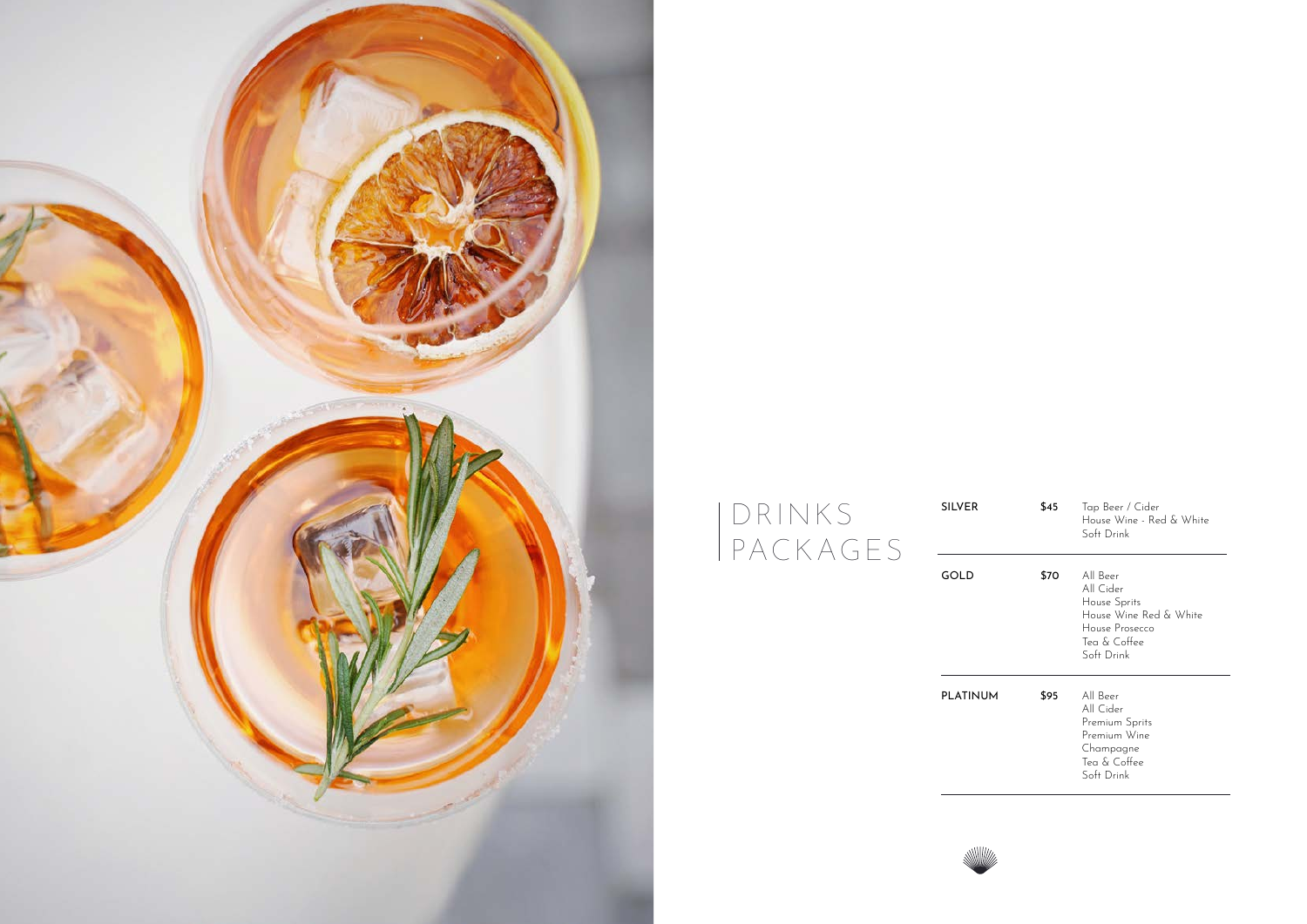

### DRINKS PACKAGES

 $SILVER$ 



| SILVER          | \$45 | Tap Beer / Cider<br>House Wine - Red & White<br>Soft Drink                                                      |
|-----------------|------|-----------------------------------------------------------------------------------------------------------------|
| GOLD            | \$70 | All Beer<br>All Cider<br>House Sprits<br>House Wine Red & White<br>House Prosecco<br>Tea & Coffee<br>Soft Drink |
| <b>PLATINUM</b> | \$95 | All Beer<br>All Cider<br>Premium Sprits<br>Premium Wine<br>Champagne<br>Tea & Coffee<br>Soft Drink              |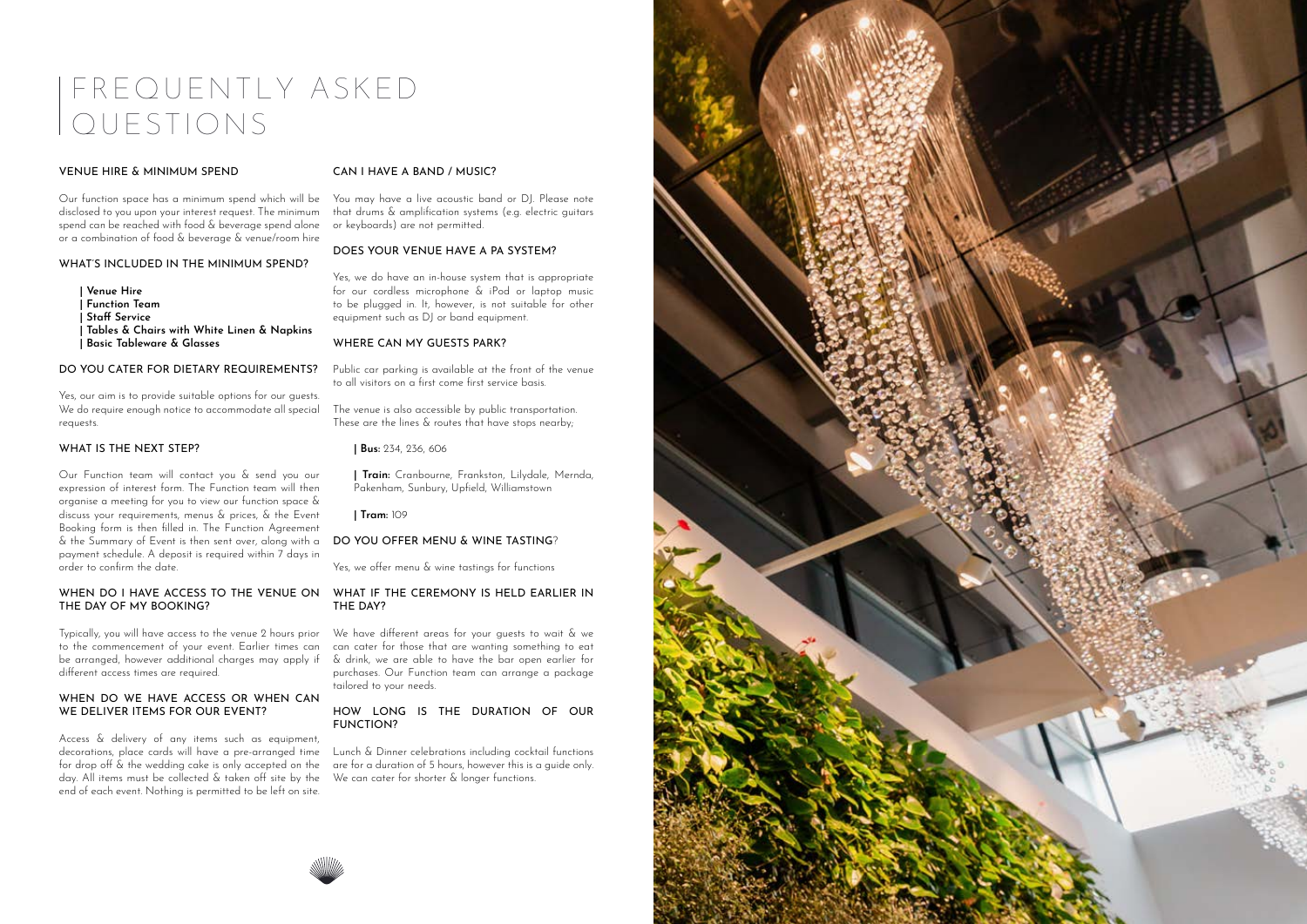### FREQUENTLY ASKED QUESTIONS

#### VENUE HIRE & MINIMUM SPEND

Our function space has a minimum spend which will be disclosed to you upon your interest request. The minimum spend can be reached with food & beverage spend alone or a combination of food & beverage & venue/room hire

#### WHAT'S INCLUDED IN THE MINIMUM SPEND?

**| Venue Hire | Function Team | Staff Service | Tables & Chairs with White Linen & Napkins | Basic Tableware & Glasses**

#### DO YOU CATER FOR DIETARY REQUIREMENTS?

Yes, our aim is to provide suitable options for our guests. We do require enough notice to accommodate all special requests.

#### WHAT IS THE NEXT STEP?

Our Function team will contact you & send you our expression of interest form. The Function team will then organise a meeting for you to view our function space & discuss your requirements, menus & prices, & the Event Booking form is then filled in. The Function Agreement & the Summary of Event is then sent over, along with a payment schedule. A deposit is required within 7 days in order to confirm the date.

### THE DAY OF MY BOOKING?

The venue is also accessible by public transportation. These are the lines & routes that have stops nearby;

Typically, you will have access to the venue 2 hours prior to the commencement of your event. Earlier times can be arranged, however additional charges may apply if different access times are required.

#### WHEN DO WE HAVE ACCESS OR WHEN CAN WE DELIVER ITEMS FOR OUR EVENT?

Lunch & Dinner celebrations including cocktail functions are for a duration of 5 hours, however this is a guide only. We can cater for shorter & longer functions.







Access & delivery of any items such as equipment, decorations, place cards will have a pre-arranged time for drop off & the wedding cake is only accepted on the day. All items must be collected & taken off site by the end of each event. Nothing is permitted to be left on site.

#### CAN I HAVE A BAND / MUSIC?

You may have a live acoustic band or DJ. Please note that drums & amplification systems (e.g. electric guitars or keyboards) are not permitted.

#### WHEN DO I HAVE ACCESS TO THE VENUE ON WHAT IF THE CEREMONY IS HELD EARLIER IN THE DAY?

#### DOES YOUR VENUE HAVE A PA SYSTEM?

Yes, we do have an in-house system that is appropriate for our cordless microphone & iPod or laptop music to be plugged in. It, however, is not suitable for other equipment such as DJ or band equipment.

#### WHERE CAN MY GUESTS PARK?

Public car parking is available at the front of the venue to all visitors on a first come first service basis.

**| Bus:** 234, 236, 606

**| Train:** Cranbourne, Frankston, Lilydale, Mernda, Pakenham, Sunbury, Upfield, Williamstown

**| Tram:** 109

#### DO YOU OFFER MENU & WINE TASTING?

Yes, we offer menu & wine tastings for functions

We have different areas for your guests to wait & we can cater for those that are wanting something to eat & drink, we are able to have the bar open earlier for purchases. Our Function team can arrange a package tailored to your needs.

#### HOW LONG IS THE DURATION OF OUR FUNCTION?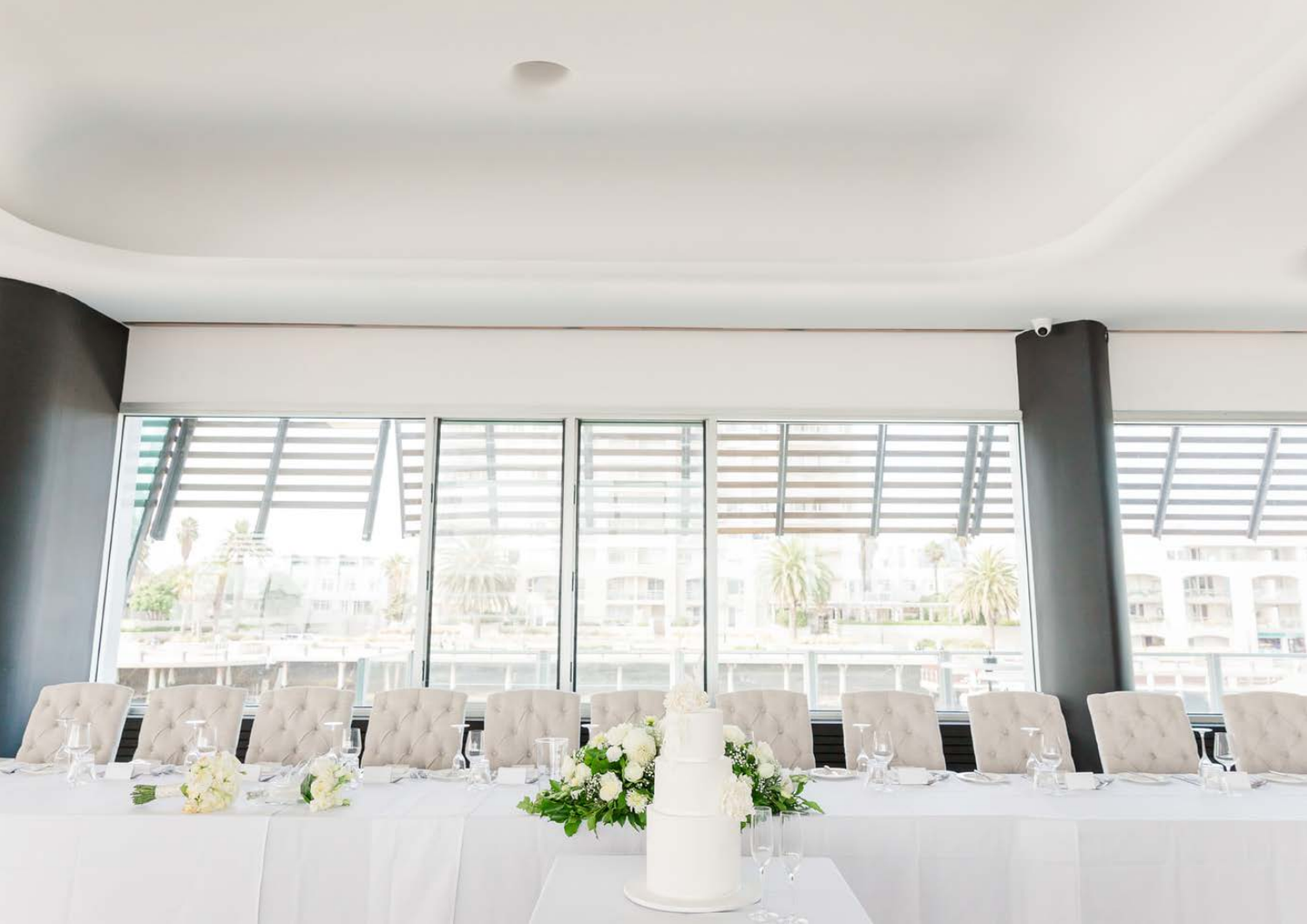